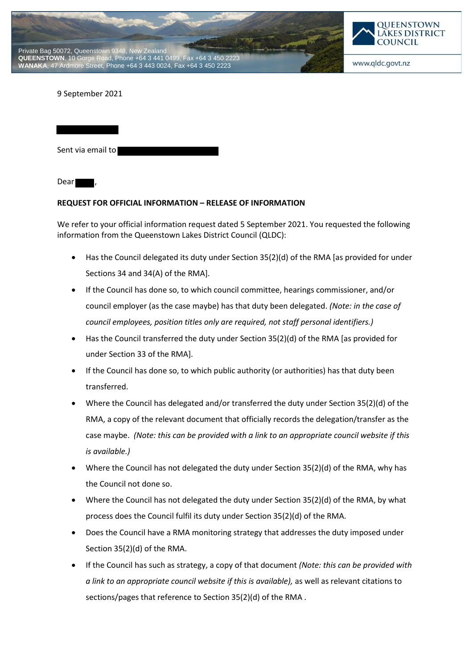



9 September 2021

Sent via email to

Dear

## **REQUEST FOR OFFICIAL INFORMATION – RELEASE OF INFORMATION**

We refer to your official information request dated 5 September 2021. You requested the following information from the Queenstown Lakes District Council (QLDC):

- Has the Council delegated its duty under Section 35(2)(d) of the RMA [as provided for under Sections 34 and 34(A) of the RMA].
- If the Council has done so, to which council committee, hearings commissioner, and/or council employer (as the case maybe) has that duty been delegated. *(Note: in the case of council employees, position titles only are required, not staff personal identifiers.)*
- Has the Council transferred the duty under Section 35(2)(d) of the RMA [as provided for under Section 33 of the RMA].
- If the Council has done so, to which public authority (or authorities) has that duty been transferred.
- Where the Council has delegated and/or transferred the duty under Section 35(2)(d) of the RMA, a copy of the relevant document that officially records the delegation/transfer as the case maybe. *(Note: this can be provided with a link to an appropriate council website if this is available.)*
- Where the Council has not delegated the duty under Section 35(2)(d) of the RMA, why has the Council not done so.
- Where the Council has not delegated the duty under Section 35(2)(d) of the RMA, by what process does the Council fulfil its duty under Section 35(2)(d) of the RMA.
- Does the Council have a RMA monitoring strategy that addresses the duty imposed under Section 35(2)(d) of the RMA.
- If the Council has such as strategy, a copy of that document *(Note: this can be provided with a link to an appropriate council website if this is available),* as well as relevant citations to sections/pages that reference to Section 35(2)(d) of the RMA .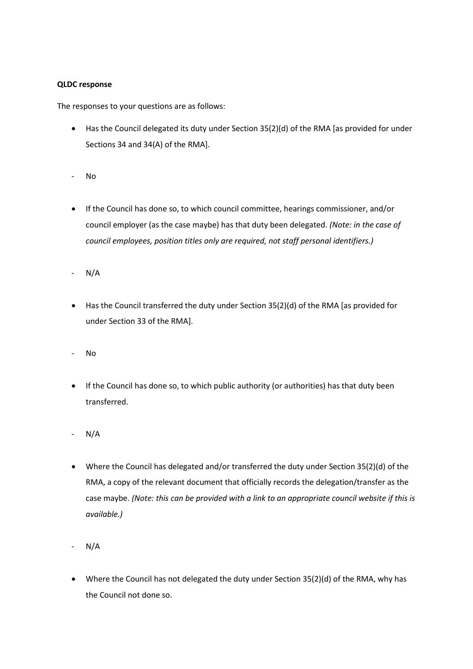## **QLDC response**

The responses to your questions are as follows:

- Has the Council delegated its duty under Section 35(2)(d) of the RMA [as provided for under Sections 34 and 34(A) of the RMA].
- No
- If the Council has done so, to which council committee, hearings commissioner, and/or council employer (as the case maybe) has that duty been delegated. *(Note: in the case of council employees, position titles only are required, not staff personal identifiers.)*
- N/A
- Has the Council transferred the duty under Section 35(2)(d) of the RMA [as provided for under Section 33 of the RMA].
- No
- If the Council has done so, to which public authority (or authorities) has that duty been transferred.
- N/A
- Where the Council has delegated and/or transferred the duty under Section 35(2)(d) of the RMA, a copy of the relevant document that officially records the delegation/transfer as the case maybe. *(Note: this can be provided with a link to an appropriate council website if this is available.)*
- N/A
- Where the Council has not delegated the duty under Section 35(2)(d) of the RMA, why has the Council not done so.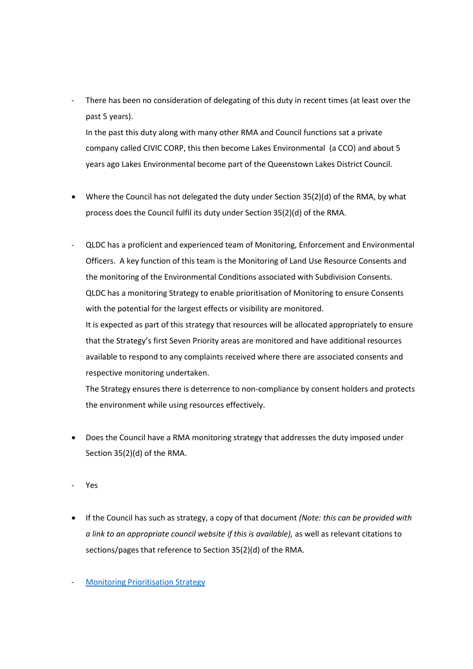There has been no consideration of delegating of this duty in recent times (at least over the past 5 years).

In the past this duty along with many other RMA and Council functions sat a private company called CIVIC CORP, this then become Lakes Environmental (a CCO) and about 5 years ago Lakes Environmental become part of the Queenstown Lakes District Council.

- Where the Council has not delegated the duty under Section 35(2)(d) of the RMA, by what process does the Council fulfil its duty under Section 35(2)(d) of the RMA.
- QLDC has a proficient and experienced team of Monitoring, Enforcement and Environmental Officers. A key function of this team is the Monitoring of Land Use Resource Consents and the monitoring of the Environmental Conditions associated with Subdivision Consents. QLDC has a monitoring Strategy to enable prioritisation of Monitoring to ensure Consents with the potential for the largest effects or visibility are monitored. It is expected as part of this strategy that resources will be allocated appropriately to ensure that the Strategy's first Seven Priority areas are monitored and have additional resources available to respond to any complaints received where there are associated consents and respective monitoring undertaken.

The Strategy ensures there is deterrence to non-compliance by consent holders and protects the environment while using resources effectively.

- Does the Council have a RMA monitoring strategy that addresses the duty imposed under Section 35(2)(d) of the RMA.
- Yes
- If the Council has such as strategy, a copy of that document *(Note: this can be provided with a link to an appropriate council website if this is available),* as well as relevant citations to sections/pages that reference to Section 35(2)(d) of the RMA.
- **Monitoring Prioritisation Strategy**